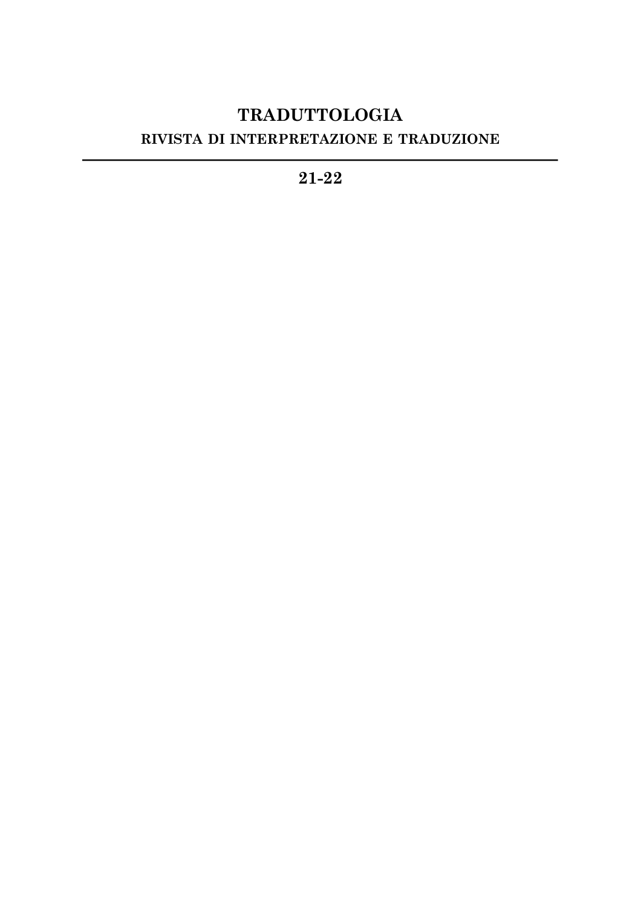# **TRADUTTOLOGIA RIVISTA DI INTERPRETAZIONE E TRADUZIONE**

**21-22**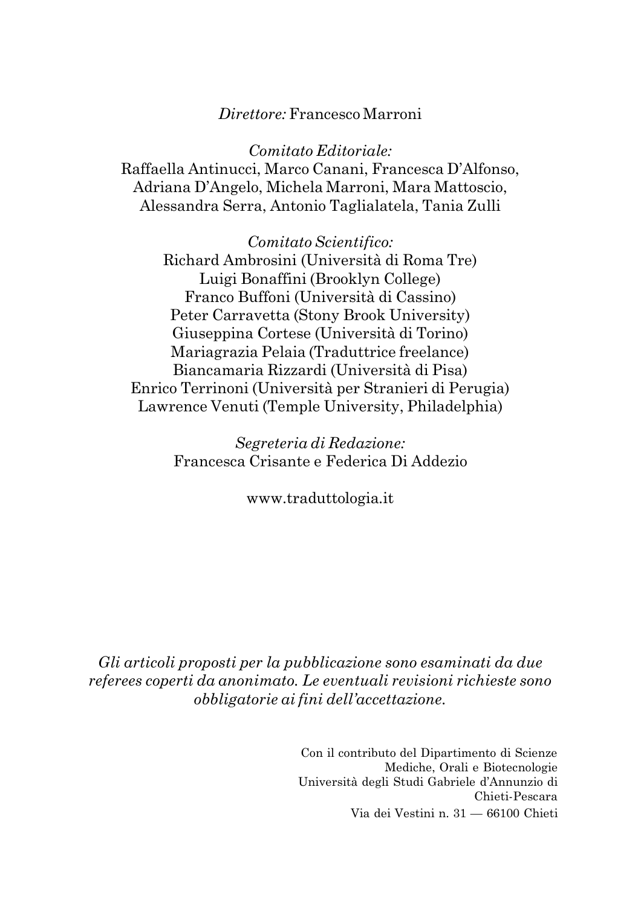#### *Direttore:* Francesco Marroni

*Comitato Editoriale:* Raffaella Antinucci, Marco Canani, Francesca D'Alfonso, Adriana D'Angelo, Michela Marroni, Mara Mattoscio, Alessandra Serra, Antonio Taglialatela, Tania Zulli

*Comitato Scientifico:* Richard Ambrosini (Università di Roma Tre) Luigi Bonaffini (Brooklyn College) Franco Buffoni (Università di Cassino) Peter Carravetta (Stony Brook University) Giuseppina Cortese (Università di Torino) Mariagrazia Pelaia (Traduttrice freelance) Biancamaria Rizzardi (Università di Pisa) Enrico Terrinoni (Università per Stranieri di Perugia) Lawrence Venuti (Temple University, Philadelphia)

> *Segreteria di Redazione:* Francesca Crisante e Federica Di Addezio

> > www.traduttologia.it

*Gli articoli proposti per la pubblicazione sono esaminati da due referees coperti da anonimato. Le eventuali revisioni richieste sono obbligatorie ai fini dell'accettazione.*

> Con il contributo del Dipartimento di Scienze Mediche, Orali e Biotecnologie Università degli Studi Gabriele d'Annunzio di Chieti-Pescara Via dei Vestini n. 31 — 66100 Chieti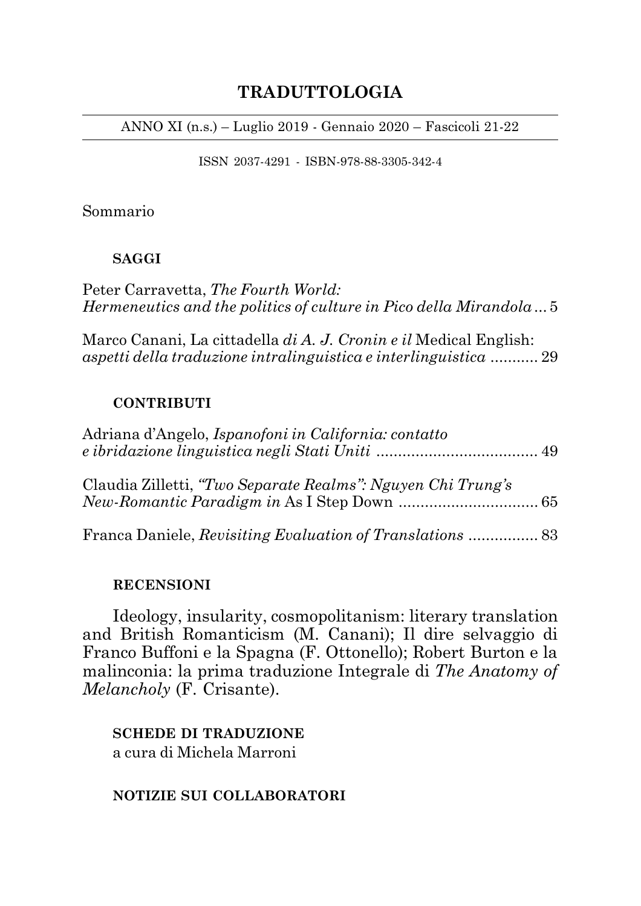## **TRADUTTOLOGIA**

ANNO XI (n.s.) – Luglio 2019 - Gennaio 2020 – Fascicoli 21-22

ISSN 2037-4291 - ISBN-978-88-3305-342-4

#### Sommario

### **SAGGI**

Peter Carravetta, *The Fourth World: Hermeneutics and the politics of culture in Pico della Mirandola ...*5

Marco Canani, La cittadella *di A. J. Cronin e il* Medical English: *aspetti della traduzione intralinguistica e interlinguistica ...........* 29

### **CONTRIBUTI**

| Adriana d'Angelo, Ispanofoni in California: contatto        |  |
|-------------------------------------------------------------|--|
| Claudia Zilletti, "Two Separate Realms": Nguyen Chi Trung's |  |
|                                                             |  |

#### **RECENSIONI**

Ideology, insularity, cosmopolitanism: literary translation and British Romanticism (M. Canani); Il dire selvaggio di Franco Buffoni e la Spagna (F. Ottonello); Robert Burton e la malinconia: la prima traduzione Integrale di *The Anatomy of Melancholy* (F. Crisante).

**SCHEDE DI TRADUZIONE** a cura di Michela Marroni

**NOTIZIE SUI COLLABORATORI**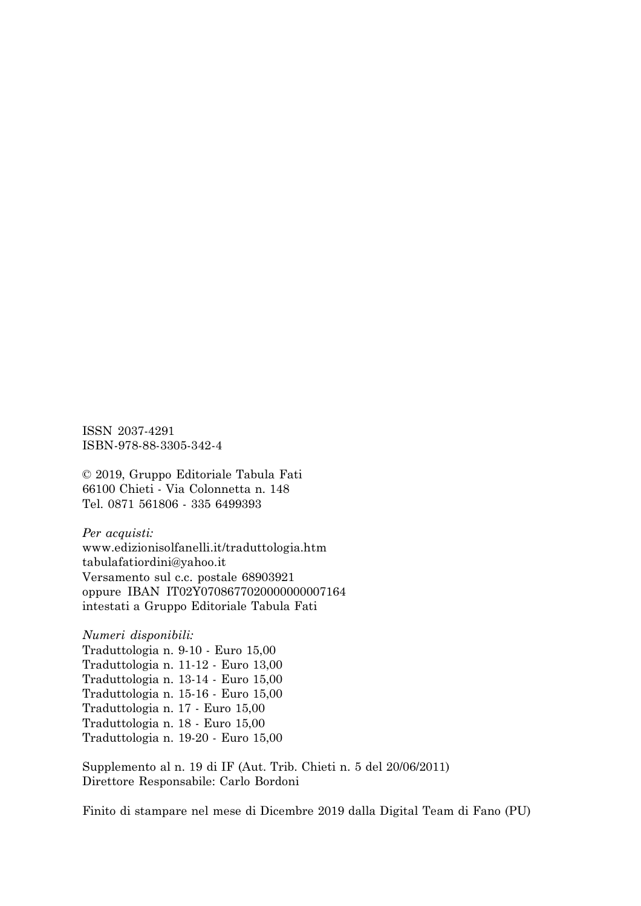ISSN 2037-4291 ISBN-978-88-3305-342-4

© 2019, Gruppo Editoriale Tabula Fati 66100 Chieti - Via Colonnetta n. 148 Tel. 0871 561806 - 335 6499393

*Per acquisti:* www.edizionisolfanelli.it/traduttologia.htm tabulafatiordini@yahoo.it Versamento sul c.c. postale 68903921 oppure IBAN IT02Y0708677020000000007164 intestati a Gruppo Editoriale Tabula Fati

*Numeri disponibili:*

Traduttologia n. 9-10 - Euro 15,00 Traduttologia n. 11-12 - Euro 13,00 Traduttologia n. 13-14 - Euro 15,00 Traduttologia n. 15-16 - Euro 15,00 Traduttologia n. 17 - Euro 15,00 Traduttologia n. 18 - Euro 15,00 Traduttologia n. 19-20 - Euro 15,00

Supplemento al n. 19 di IF (Aut. Trib. Chieti n. 5 del 20/06/2011) Direttore Responsabile: Carlo Bordoni

Finito di stampare nel mese di Dicembre 2019 dalla Digital Team di Fano (PU)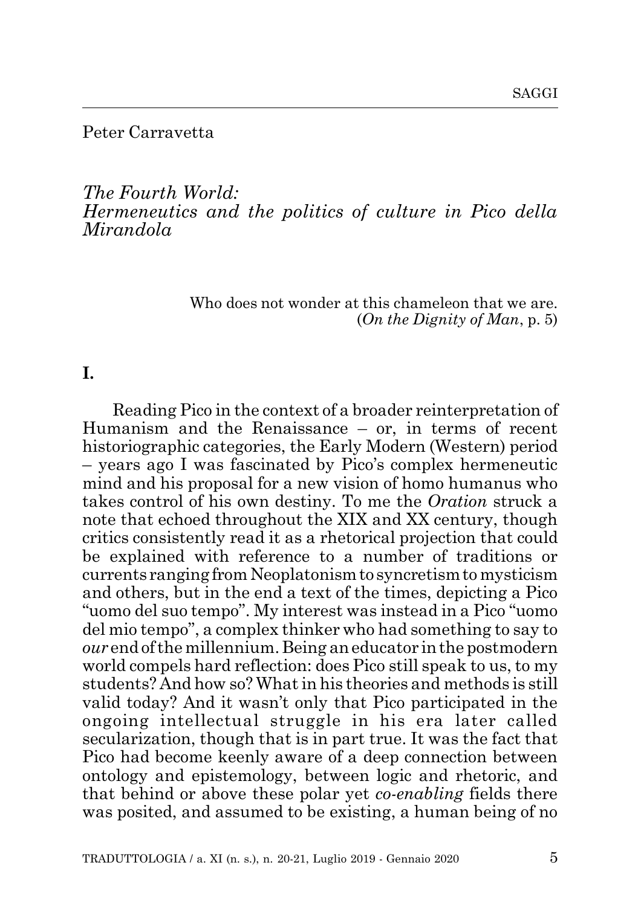Peter Carravetta

### *The Fourth World: Hermeneutics and the politics of culture in Pico della Mirandola*

Who does not wonder at this chameleon that we are. (*On the Dignity of Man*, p. 5)

### **I.**

Reading Pico in the context of a broader reinterpretation of Humanism and the Renaissance – or, in terms of recent historiographic categories, the Early Modern (Western) period – years ago I was fascinated by Pico's complex hermeneutic mind and his proposal for a new vision of homo humanus who takes control of his own destiny. To me the *Oration* struck a note that echoed throughout the XIX and XX century, though critics consistently read it as a rhetorical projection that could be explained with reference to a number of traditions or currents ranging from Neoplatonism to syncretism to mysticism and others, but in the end a text of the times, depicting a Pico "uomo del suo tempo". My interest was instead in a Pico "uomo del mio tempo", a complex thinker who had something to say to *our* end of the millennium. Being an educator in the postmodern world compels hard reflection: does Pico still speak to us, to my students? And how so? What in his theories and methods is still valid today? And it wasn't only that Pico participated in the ongoing intellectual struggle in his era later called secularization, though that is in part true. It was the fact that Pico had become keenly aware of a deep connection between ontology and epistemology, between logic and rhetoric, and that behind or above these polar yet *co-enabling* fields there was posited, and assumed to be existing, a human being of no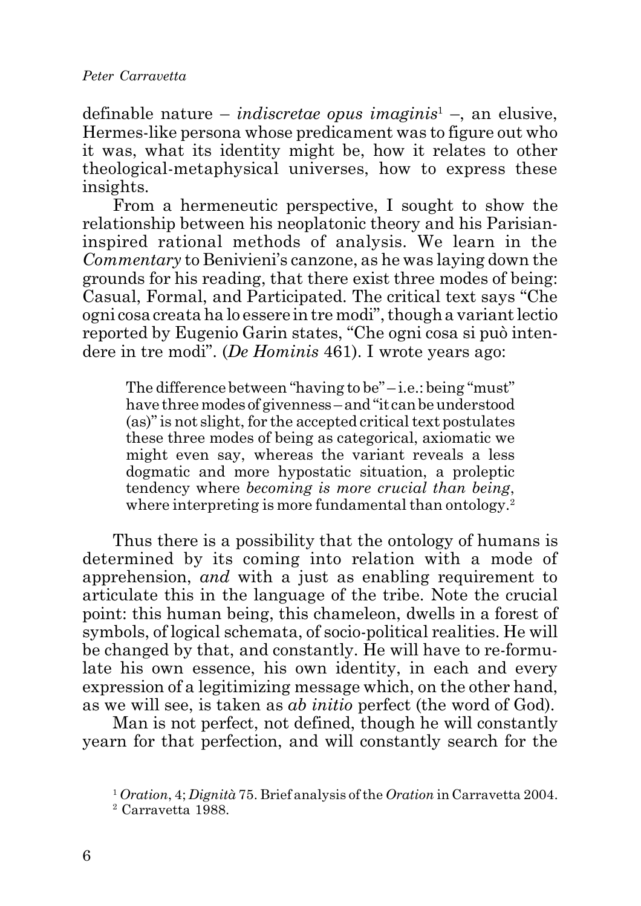definable nature – *indiscretae opus imaginis*<sup>1</sup> –, an elusive, Hermes-like persona whose predicament was to figure out who it was, what its identity might be, how it relates to other theological-metaphysical universes, how to express these insights.

From a hermeneutic perspective, I sought to show the relationship between his neoplatonic theory and his Parisianinspired rational methods of analysis. We learn in the *Commentary* to Benivieni's canzone, as he was laying down the grounds for his reading, that there exist three modes of being: Casual, Formal, and Participated. The critical text says "Che ogni cosa creata ha lo essere in tre modi", though a variant lectio reported by Eugenio Garin states, "Che ogni cosa si può intendere in tre modi". (*De Hominis* 461). I wrote years ago:

The difference between "having to be" – i.e.: being "must" have three modes of givenness – and "it can be understood (as)" is not slight, for the accepted critical text postulates these three modes of being as categorical, axiomatic we might even say, whereas the variant reveals a less dogmatic and more hypostatic situation, a proleptic tendency where *becoming is more crucial than being*, where interpreting is more fundamental than ontology.<sup>2</sup>

Thus there is a possibility that the ontology of humans is determined by its coming into relation with a mode of apprehension, *and* with a just as enabling requirement to articulate this in the language of the tribe. Note the crucial point: this human being, this chameleon, dwells in a forest of symbols, of logical schemata, of socio-political realities. He will be changed by that, and constantly. He will have to re-formulate his own essence, his own identity, in each and every expression of a legitimizing message which, on the other hand, as we will see, is taken as *ab initio* perfect (the word of God).

Man is not perfect, not defined, though he will constantly yearn for that perfection, and will constantly search for the

<sup>1</sup> *Oration*, 4; *Dignità* 75. Brief analysis of the *Oration* in Carravetta 2004.

<sup>2</sup> Carravetta 1988.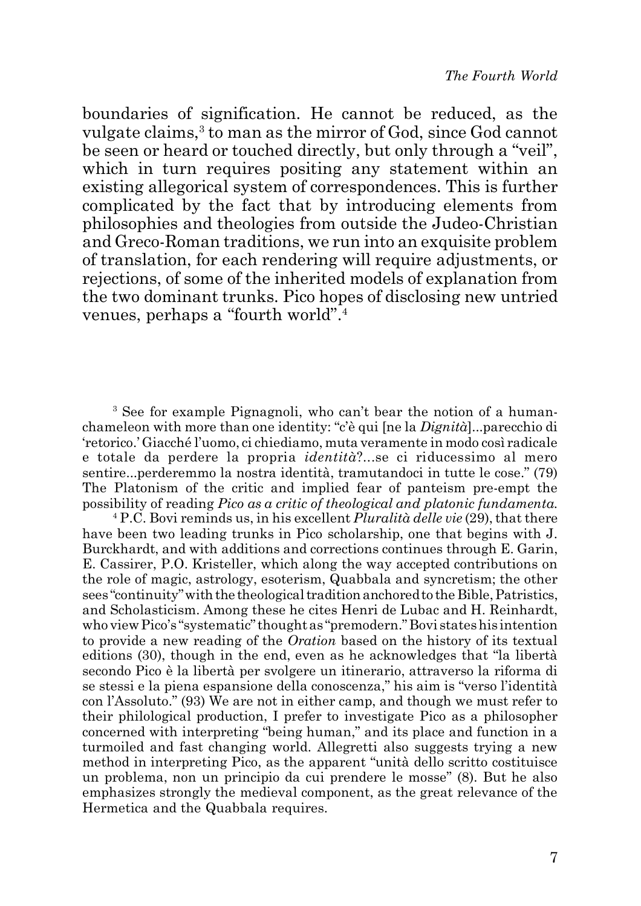boundaries of signification. He cannot be reduced, as the vulgate claims,<sup>3</sup> to man as the mirror of God, since God cannot be seen or heard or touched directly, but only through a "veil", which in turn requires positing any statement within an existing allegorical system of correspondences. This is further complicated by the fact that by introducing elements from philosophies and theologies from outside the Judeo-Christian and Greco-Roman traditions, we run into an exquisite problem of translation, for each rendering will require adjustments, or rejections, of some of the inherited models of explanation from the two dominant trunks. Pico hopes of disclosing new untried venues, perhaps a "fourth world".4

<sup>3</sup> See for example Pignagnoli, who can't bear the notion of a humanchameleon with more than one identity: "c'è qui [ne la *Dignità*]...parecchio di 'retorico.' Giacché l'uomo, ci chiediamo, muta veramente in modo così radicale e totale da perdere la propria *identità*?...se ci riducessimo al mero sentire...perderemmo la nostra identità, tramutandoci in tutte le cose." (79) The Platonism of the critic and implied fear of panteism pre-empt the possibility of reading *Pico as a critic of theological and platonic fundamenta*.

4 P.C. Bovi reminds us, in his excellent *Pluralità delle vie* (29), that there have been two leading trunks in Pico scholarship, one that begins with J. Burckhardt, and with additions and corrections continues through E. Garin, E. Cassirer, P.O. Kristeller, which along the way accepted contributions on the role of magic, astrology, esoterism, Quabbala and syncretism; the other sees "continuity" with the theological tradition anchored to the Bible, Patristics, and Scholasticism. Among these he cites Henri de Lubac and H. Reinhardt, who view Pico's "systematic" thought as "premodern." Bovi states his intention to provide a new reading of the *Oration* based on the history of its textual editions (30), though in the end, even as he acknowledges that "la libertà secondo Pico è la libertà per svolgere un itinerario, attraverso la riforma di se stessi e la piena espansione della conoscenza," his aim is "verso l'identità con l'Assoluto." (93) We are not in either camp, and though we must refer to their philological production, I prefer to investigate Pico as a philosopher concerned with interpreting "being human," and its place and function in a turmoiled and fast changing world. Allegretti also suggests trying a new method in interpreting Pico, as the apparent "unità dello scritto costituisce un problema, non un principio da cui prendere le mosse" (8). But he also emphasizes strongly the medieval component, as the great relevance of the Hermetica and the Quabbala requires.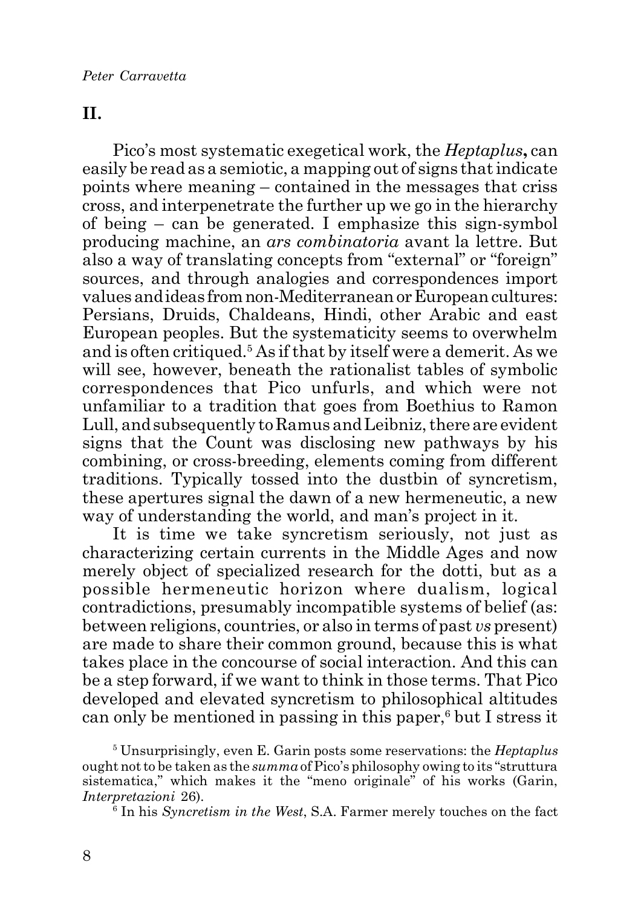## **II.**

Pico's most systematic exegetical work, the *Heptaplus***,** can easily be read as a semiotic, a mapping out of signs that indicate points where meaning – contained in the messages that criss cross, and interpenetrate the further up we go in the hierarchy of being – can be generated. I emphasize this sign-symbol producing machine, an *ars combinatoria* avant la lettre. But also a way of translating concepts from "external" or "foreign" sources, and through analogies and correspondences import values and ideas from non-Mediterranean or European cultures: Persians, Druids, Chaldeans, Hindi, other Arabic and east European peoples. But the systematicity seems to overwhelm and is often critiqued.<sup>5</sup> As if that by itself were a demerit. As we will see, however, beneath the rationalist tables of symbolic correspondences that Pico unfurls, and which were not unfamiliar to a tradition that goes from Boethius to Ramon Lull, and subsequently to Ramus and Leibniz, there are evident signs that the Count was disclosing new pathways by his combining, or cross-breeding, elements coming from different traditions. Typically tossed into the dustbin of syncretism, these apertures signal the dawn of a new hermeneutic, a new way of understanding the world, and man's project in it.

It is time we take syncretism seriously, not just as characterizing certain currents in the Middle Ages and now merely object of specialized research for the dotti, but as a possible hermeneutic horizon where dualism, logical contradictions, presumably incompatible systems of belief (as: between religions, countries, or also in terms of past *vs* present) are made to share their common ground, because this is what takes place in the concourse of social interaction. And this can be a step forward, if we want to think in those terms. That Pico developed and elevated syncretism to philosophical altitudes can only be mentioned in passing in this paper,<sup>6</sup> but I stress it

5 Unsurprisingly, even E. Garin posts some reservations: the *Heptaplus* ought not to be taken as the *summa* of Pico's philosophy owing to its "struttura sistematica," which makes it the "meno originale" of his works (Garin, *Interpretazioni* 26).

6 In his *Syncretism in the West*, S.A. Farmer merely touches on the fact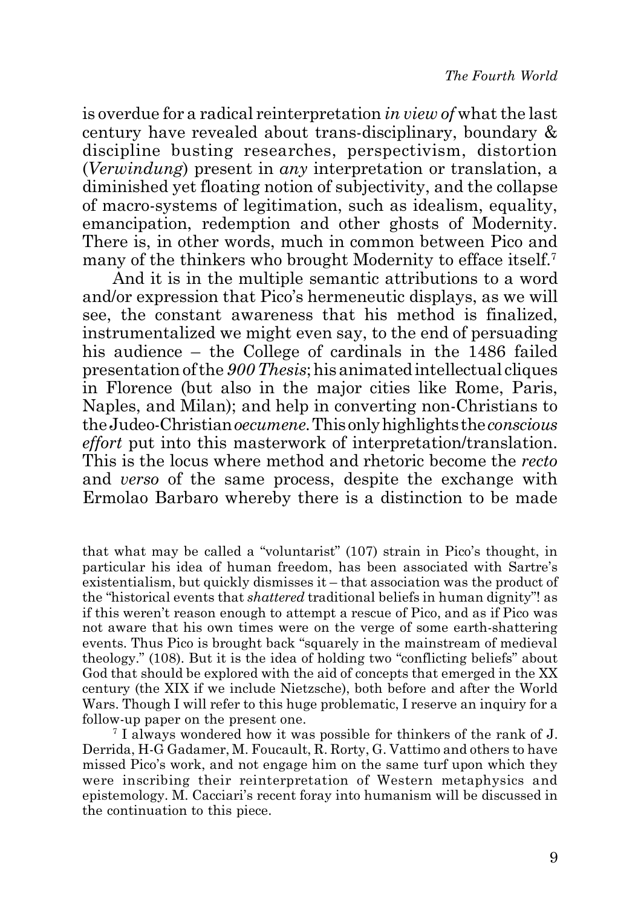is overdue for a radical reinterpretation *in view of* what the last century have revealed about trans-disciplinary, boundary & discipline busting researches, perspectivism, distortion (*Verwindung*) present in *any* interpretation or translation, a diminished yet floating notion of subjectivity, and the collapse of macro-systems of legitimation, such as idealism, equality, emancipation, redemption and other ghosts of Modernity. There is, in other words, much in common between Pico and many of the thinkers who brought Modernity to efface itself.<sup>7</sup>

And it is in the multiple semantic attributions to a word and/or expression that Pico's hermeneutic displays, as we will see, the constant awareness that his method is finalized, instrumentalized we might even say, to the end of persuading his audience – the College of cardinals in the 1486 failed presentation of the *900 Thesis*; his animated intellectual cliques in Florence (but also in the major cities like Rome, Paris, Naples, and Milan); and help in converting non-Christians to the Judeo-Christian *oecumene*. This only highlights the *conscious effort* put into this masterwork of interpretation/translation. This is the locus where method and rhetoric become the *recto* and *verso* of the same process, despite the exchange with Ermolao Barbaro whereby there is a distinction to be made

<sup>7</sup> I always wondered how it was possible for thinkers of the rank of J. Derrida, H-G Gadamer, M. Foucault, R. Rorty, G. Vattimo and others to have missed Pico's work, and not engage him on the same turf upon which they were inscribing their reinterpretation of Western metaphysics and epistemology. M. Cacciari's recent foray into humanism will be discussed in the continuation to this piece.

that what may be called a "voluntarist" (107) strain in Pico's thought, in particular his idea of human freedom, has been associated with Sartre's existentialism, but quickly dismisses it – that association was the product of the "historical events that *shattered* traditional beliefs in human dignity"! as if this weren't reason enough to attempt a rescue of Pico, and as if Pico was not aware that his own times were on the verge of some earth-shattering events. Thus Pico is brought back "squarely in the mainstream of medieval theology." (108). But it is the idea of holding two "conflicting beliefs" about God that should be explored with the aid of concepts that emerged in the XX century (the XIX if we include Nietzsche), both before and after the World Wars. Though I will refer to this huge problematic, I reserve an inquiry for a follow-up paper on the present one.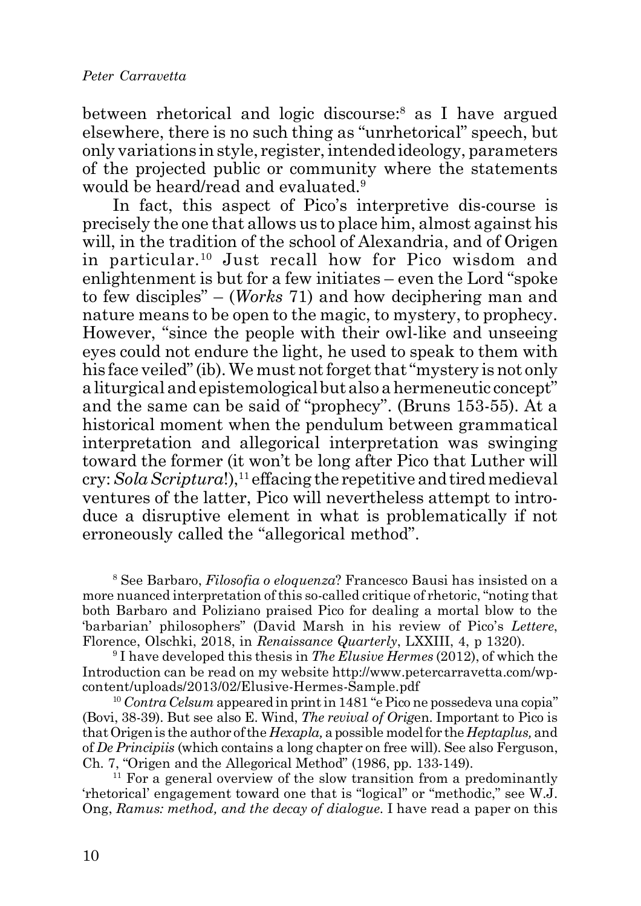between rhetorical and logic discourse:<sup>8</sup> as I have argued elsewhere, there is no such thing as "unrhetorical" speech, but only variations in style, register, intended ideology, parameters of the projected public or community where the statements would be heard/read and evaluated.<sup>9</sup>

In fact, this aspect of Pico's interpretive dis-course is precisely the one that allows us to place him, almost against his will, in the tradition of the school of Alexandria, and of Origen in particular.10 Just recall how for Pico wisdom and enlightenment is but for a few initiates – even the Lord "spoke to few disciples" – (*Works* 71) and how deciphering man and nature means to be open to the magic, to mystery, to prophecy. However, "since the people with their owl-like and unseeing eyes could not endure the light, he used to speak to them with his face veiled" (ib). We must not forget that "mystery is not only a liturgical and epistemological but also a hermeneutic concept" and the same can be said of "prophecy". (Bruns 153-55). At a historical moment when the pendulum between grammatical interpretation and allegorical interpretation was swinging toward the former (it won't be long after Pico that Luther will cry:  $Sola$  *Scriptura*!),<sup>11</sup> effacing the repetitive and tired medieval ventures of the latter, Pico will nevertheless attempt to introduce a disruptive element in what is problematically if not erroneously called the "allegorical method".

8 See Barbaro, *Filosofia o eloquenza*? Francesco Bausi has insisted on a more nuanced interpretation of this so-called critique of rhetoric, "noting that both Barbaro and Poliziano praised Pico for dealing a mortal blow to the 'barbarian' philosophers" (David Marsh in his review of Pico's *Lettere*, Florence, Olschki, 2018, in *Renaissance Quarterly*, LXXIII, 4, p 1320).

9 I have developed this thesis in *The Elusive Hermes* (2012), of which the Introduction can be read on my website http://www.petercarravetta.com/wpcontent/uploads/2013/02/Elusive-Hermes-Sample.pdf

<sup>10</sup> *Contra Celsum* appeared in print in 1481 "e Pico ne possedeva una copia" (Bovi, 38-39). But see also E. Wind, *The revival of Orig*en. Important to Pico is that Origen is the author of the *Hexapla,* a possible model for the *Heptaplus,* and of *De Principiis* (which contains a long chapter on free will). See also Ferguson, Ch. 7, "Origen and the Allegorical Method" (1986, pp. 133-149).

 $11$  For a general overview of the slow transition from a predominantly 'rhetorical' engagement toward one that is "logical" or "methodic," see W.J. Ong, *Ramus: method, and the decay of dialogue*. I have read a paper on this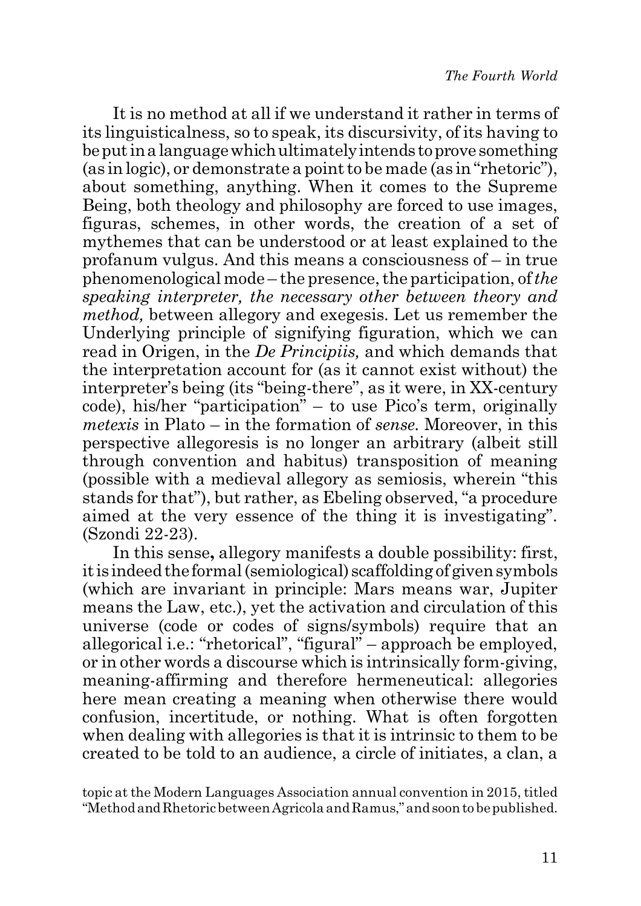It is no method at all if we understand it rather in terms of its linguisticalness, so to speak, its discursivity, of its having to be put in a language which ultimately intends to prove something (as in logic), or demonstrate a point to be made (as in "rhetoric"), about something, anything. When it comes to the Supreme Being, both theology and philosophy are forced to use images, figuras, schemes, in other words, the creation of a set of mythemes that can be understood or at least explained to the profanum vulgus. And this means a consciousness of – in true phenomenological mode – the presence, the participation, of *the speaking interpreter, the necessary other between theory and method,* between allegory and exegesis. Let us remember the Underlying principle of signifying figuration, which we can read in Origen, in the *De Principiis,* and which demands that the interpretation account for (as it cannot exist without) the interpreter's being (its "being-there", as it were, in XX-century code), his/her "participation" – to use Pico's term, originally *metexis* in Plato – in the formation of *sense.* Moreover, in this perspective allegoresis is no longer an arbitrary (albeit still through convention and habitus) transposition of meaning (possible with a medieval allegory as semiosis, wherein "this stands for that"), but rather, as Ebeling observed, "a procedure aimed at the very essence of the thing it is investigating". (Szondi 22-23).

In this sense**,** allegory manifests a double possibility: first, it is indeed the formal (semiological) scaffolding of given symbols (which are invariant in principle: Mars means war, Jupiter means the Law, etc.), yet the activation and circulation of this universe (code or codes of signs/symbols) require that an allegorical i.e.: "rhetorical", "figural" – approach be employed, or in other words a discourse which is intrinsically form-giving, meaning-affirming and therefore hermeneutical: allegories here mean creating a meaning when otherwise there would confusion, incertitude, or nothing. What is often forgotten when dealing with allegories is that it is intrinsic to them to be created to be told to an audience, a circle of initiates, a clan, a

topic at the Modern Languages Association annual convention in 2015, titled "Method and Rhetoric between Agricola and Ramus," and soon to be published.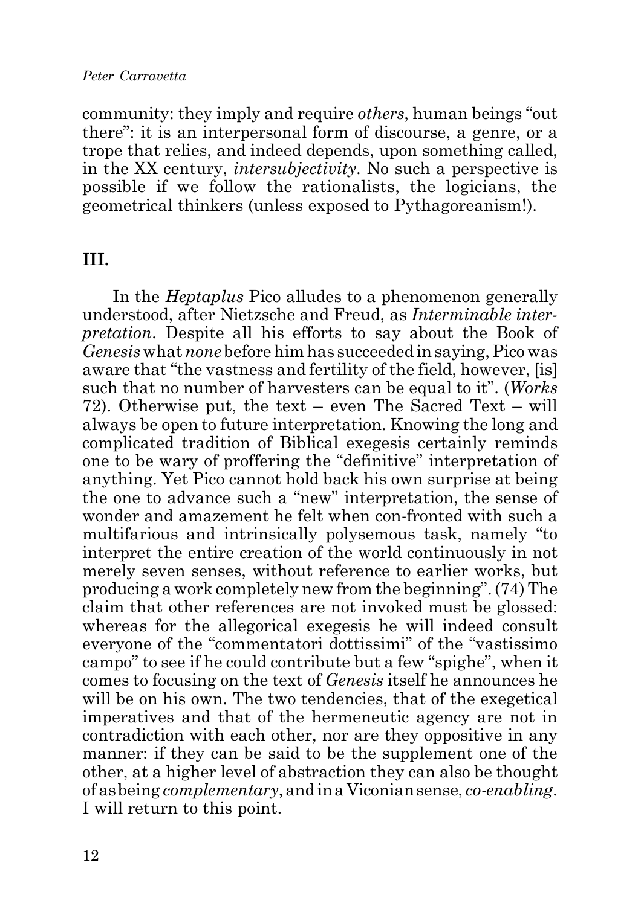community: they imply and require *others*, human beings "out there": it is an interpersonal form of discourse, a genre, or a trope that relies, and indeed depends, upon something called, in the XX century, *intersubjectivity*. No such a perspective is possible if we follow the rationalists, the logicians, the geometrical thinkers (unless exposed to Pythagoreanism!).

## **III.**

In the *Heptaplus* Pico alludes to a phenomenon generally understood, after Nietzsche and Freud, as *Interminable interpretation*. Despite all his efforts to say about the Book of *Genesis*what *none* before him has succeeded in saying, Pico was aware that "the vastness and fertility of the field, however, [is] such that no number of harvesters can be equal to it". (*Works* 72). Otherwise put, the text – even The Sacred Text – will always be open to future interpretation. Knowing the long and complicated tradition of Biblical exegesis certainly reminds one to be wary of proffering the "definitive" interpretation of anything. Yet Pico cannot hold back his own surprise at being the one to advance such a "new" interpretation, the sense of wonder and amazement he felt when con-fronted with such a multifarious and intrinsically polysemous task, namely "to interpret the entire creation of the world continuously in not merely seven senses, without reference to earlier works, but producing a work completely new from the beginning". (74) The claim that other references are not invoked must be glossed: whereas for the allegorical exegesis he will indeed consult everyone of the "commentatori dottissimi" of the "vastissimo campo" to see if he could contribute but a few "spighe", when it comes to focusing on the text of *Genesis* itself he announces he will be on his own. The two tendencies, that of the exegetical imperatives and that of the hermeneutic agency are not in contradiction with each other, nor are they oppositive in any manner: if they can be said to be the supplement one of the other, at a higher level of abstraction they can also be thought of as being *complementary*, and in a Viconian sense, *co-enabling*. I will return to this point.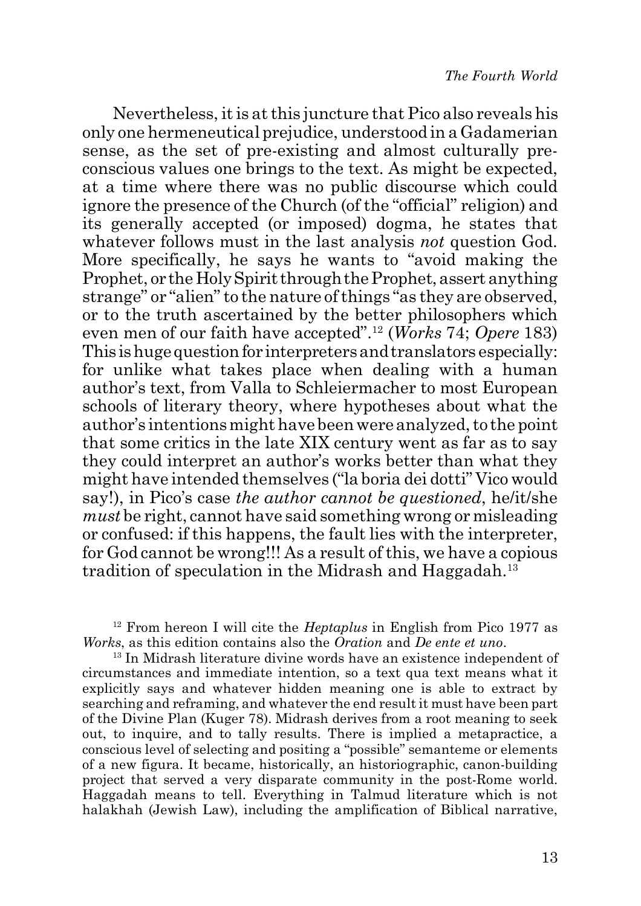Nevertheless, it is at this juncture that Pico also reveals his only one hermeneutical prejudice, understood in a Gadamerian sense, as the set of pre-existing and almost culturally preconscious values one brings to the text. As might be expected, at a time where there was no public discourse which could ignore the presence of the Church (of the "official" religion) and its generally accepted (or imposed) dogma, he states that whatever follows must in the last analysis *not* question God. More specifically, he says he wants to "avoid making the Prophet, or the Holy Spirit through the Prophet, assert anything strange" or "alien" to the nature of things "as they are observed, or to the truth ascertained by the better philosophers which even men of our faith have accepted".12 (*Works* 74; *Opere* 183) This is huge question for interpreters and translators especially: for unlike what takes place when dealing with a human author's text, from Valla to Schleiermacher to most European schools of literary theory, where hypotheses about what the author's intentions might have been were analyzed, to the point that some critics in the late XIX century went as far as to say they could interpret an author's works better than what they might have intended themselves ("la boria dei dotti" Vico would say!), in Pico's case *the author cannot be questioned*, he/it/she *must* be right, cannot have said something wrong or misleading or confused: if this happens, the fault lies with the interpreter, for God cannot be wrong!!! As a result of this, we have a copious tradition of speculation in the Midrash and Haggadah.<sup>13</sup>

12 From hereon I will cite the *Heptaplus* in English from Pico 1977 as *Works*, as this edition contains also the *Oration* and *De ente et uno*.

<sup>13</sup> In Midrash literature divine words have an existence independent of circumstances and immediate intention, so a text qua text means what it explicitly says and whatever hidden meaning one is able to extract by searching and reframing, and whatever the end result it must have been part of the Divine Plan (Kuger 78). Midrash derives from a root meaning to seek out, to inquire, and to tally results. There is implied a metapractice, a conscious level of selecting and positing a "possible" semanteme or elements of a new figura. It became, historically, an historiographic, canon-building project that served a very disparate community in the post-Rome world. Haggadah means to tell. Everything in Talmud literature which is not halakhah (Jewish Law), including the amplification of Biblical narrative,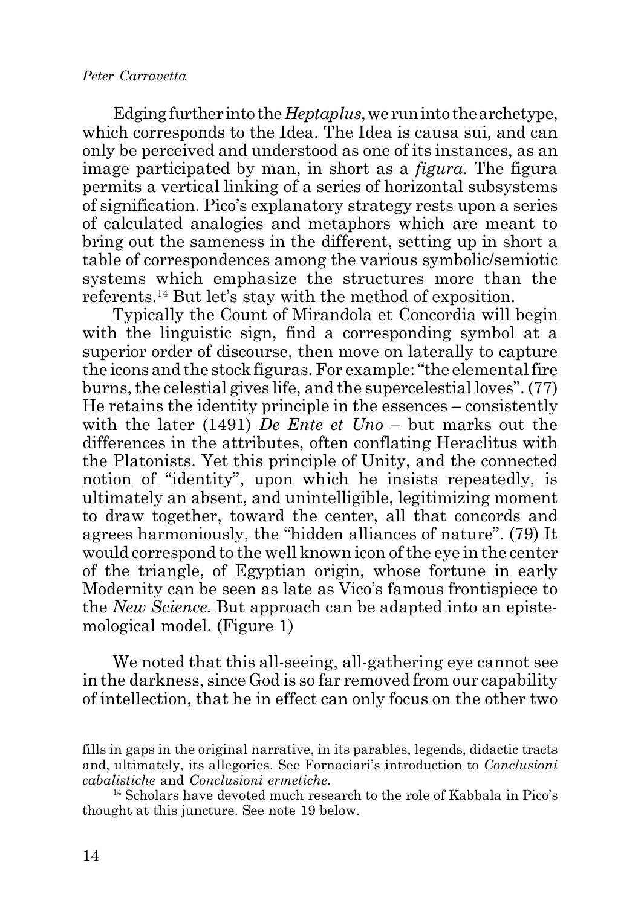Edging further into the *Heptaplus*, we run into the archetype, which corresponds to the Idea. The Idea is causa sui, and can only be perceived and understood as one of its instances, as an image participated by man, in short as a *figura.* The figura permits a vertical linking of a series of horizontal subsystems of signification. Pico's explanatory strategy rests upon a series of calculated analogies and metaphors which are meant to bring out the sameness in the different, setting up in short a table of correspondences among the various symbolic/semiotic systems which emphasize the structures more than the referents.14 But let's stay with the method of exposition.

Typically the Count of Mirandola et Concordia will begin with the linguistic sign, find a corresponding symbol at a superior order of discourse, then move on laterally to capture the icons and the stock figuras. For example: "the elemental fire burns, the celestial gives life, and the supercelestial loves". (77) He retains the identity principle in the essences – consistently with the later (1491) *De Ente et Uno* – but marks out the differences in the attributes, often conflating Heraclitus with the Platonists. Yet this principle of Unity, and the connected notion of "identity", upon which he insists repeatedly, is ultimately an absent, and unintelligible, legitimizing moment to draw together, toward the center, all that concords and agrees harmoniously, the "hidden alliances of nature". (79) It would correspond to the well known icon of the eye in the center of the triangle, of Egyptian origin, whose fortune in early Modernity can be seen as late as Vico's famous frontispiece to the *New Science.* But approach can be adapted into an epistemological model. (Figure 1)

We noted that this all-seeing, all-gathering eye cannot see in the darkness, since God is so far removed from our capability of intellection, that he in effect can only focus on the other two

<sup>14</sup> Scholars have devoted much research to the role of Kabbala in Pico's thought at this juncture. See note 19 below.

fills in gaps in the original narrative, in its parables, legends, didactic tracts and, ultimately, its allegories. See Fornaciari's introduction to *Conclusioni cabalistiche* and *Conclusioni ermetiche*.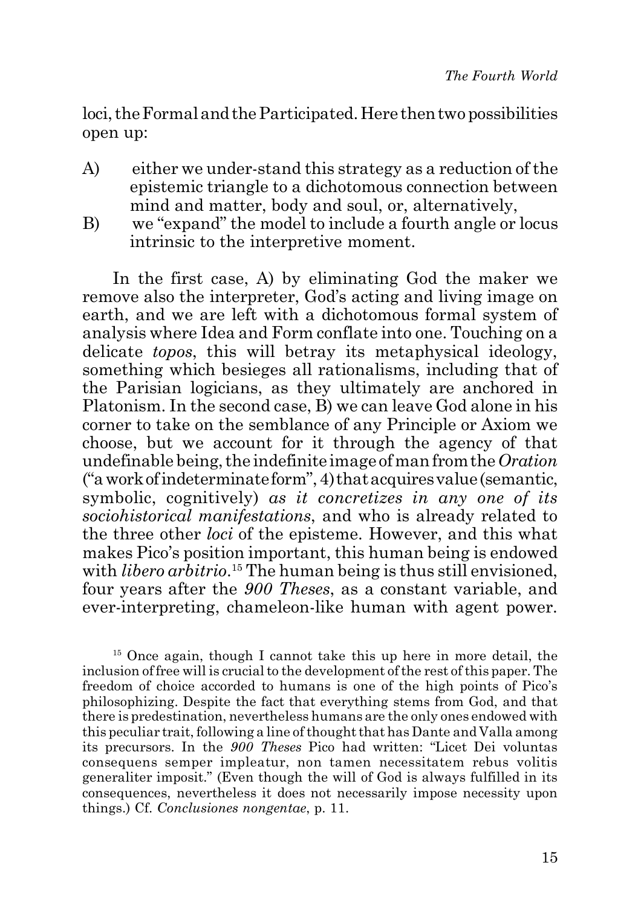loci, the Formal and the Participated. Here then two possibilities open up:

- A) either we under-stand this strategy as a reduction of the epistemic triangle to a dichotomous connection between mind and matter, body and soul, or, alternatively,
- B) we "expand" the model to include a fourth angle or locus intrinsic to the interpretive moment.

In the first case, A) by eliminating God the maker we remove also the interpreter, God's acting and living image on earth, and we are left with a dichotomous formal system of analysis where Idea and Form conflate into one. Touching on a delicate *topos*, this will betray its metaphysical ideology, something which besieges all rationalisms, including that of the Parisian logicians, as they ultimately are anchored in Platonism. In the second case, B) we can leave God alone in his corner to take on the semblance of any Principle or Axiom we choose, but we account for it through the agency of that undefinable being, the indefinite image of man from the *Oration* ("a work of indeterminate form", 4) that acquires value (semantic, symbolic, cognitively) *as it concretizes in any one of its sociohistorical manifestations*, and who is already related to the three other *loci* of the episteme. However, and this what makes Pico's position important, this human being is endowed with *libero arbitrio*.<sup>15</sup> The human being is thus still envisioned, four years after the *900 Theses*, as a constant variable, and ever-interpreting, chameleon-like human with agent power.

<sup>15</sup> Once again, though I cannot take this up here in more detail, the inclusion of free will is crucial to the development of the rest of this paper. The freedom of choice accorded to humans is one of the high points of Pico's philosophizing. Despite the fact that everything stems from God, and that there is predestination, nevertheless humans are the only ones endowed with this peculiar trait, following a line of thought that has Dante and Valla among its precursors. In the *900 Theses* Pico had written: "Licet Dei voluntas consequens semper impleatur, non tamen necessitatem rebus volitis generaliter imposit." (Even though the will of God is always fulfilled in its consequences, nevertheless it does not necessarily impose necessity upon things.) Cf. *Conclusiones nongentae*, p. 11.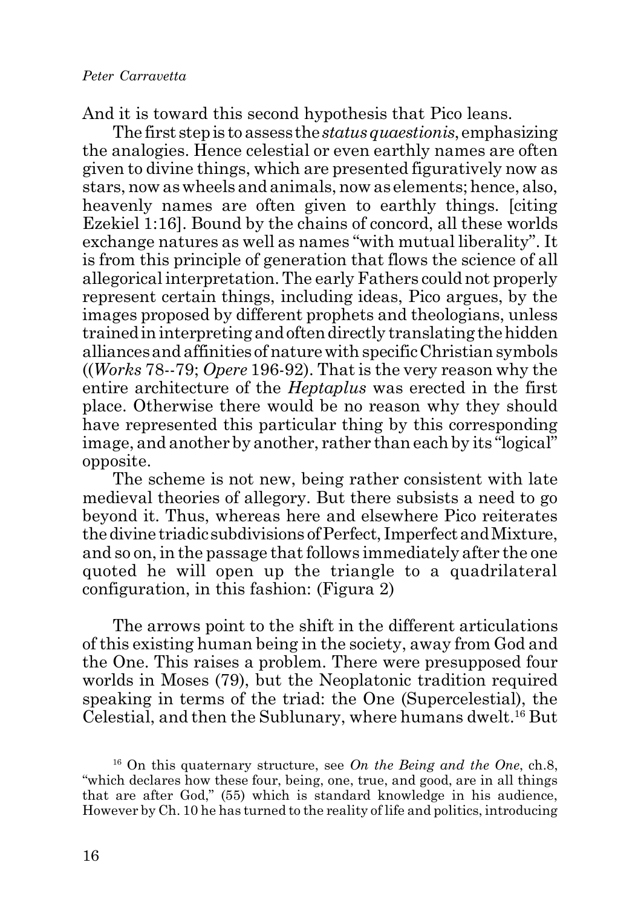And it is toward this second hypothesis that Pico leans.

The first step is to assess the *status quaestionis*, emphasizing the analogies. Hence celestial or even earthly names are often given to divine things, which are presented figuratively now as stars, now as wheels and animals, now as elements; hence, also, heavenly names are often given to earthly things. [citing Ezekiel 1:16]. Bound by the chains of concord, all these worlds exchange natures as well as names "with mutual liberality". It is from this principle of generation that flows the science of all allegorical interpretation. The early Fathers could not properly represent certain things, including ideas, Pico argues, by the images proposed by different prophets and theologians, unless trained in interpreting and often directly translating the hidden alliances and affinities of nature with specific Christian symbols  $((Works 78-79; *Opere* 196-92). That is the very reason why the$ entire architecture of the *Heptaplus* was erected in the first place. Otherwise there would be no reason why they should have represented this particular thing by this corresponding image, and another by another, rather than each by its "logical" opposite.

The scheme is not new, being rather consistent with late medieval theories of allegory. But there subsists a need to go beyond it. Thus, whereas here and elsewhere Pico reiterates the divine triadic subdivisions of Perfect, Imperfect and Mixture, and so on, in the passage that follows immediately after the one quoted he will open up the triangle to a quadrilateral configuration, in this fashion: (Figura 2)

The arrows point to the shift in the different articulations of this existing human being in the society, away from God and the One. This raises a problem. There were presupposed four worlds in Moses (79), but the Neoplatonic tradition required speaking in terms of the triad: the One (Supercelestial), the Celestial, and then the Sublunary, where humans dwelt.16 But

<sup>16</sup> On this quaternary structure, see *On the Being and the One*, ch.8, "which declares how these four, being, one, true, and good, are in all things that are after God," (55) which is standard knowledge in his audience, However by Ch. 10 he has turned to the reality of life and politics, introducing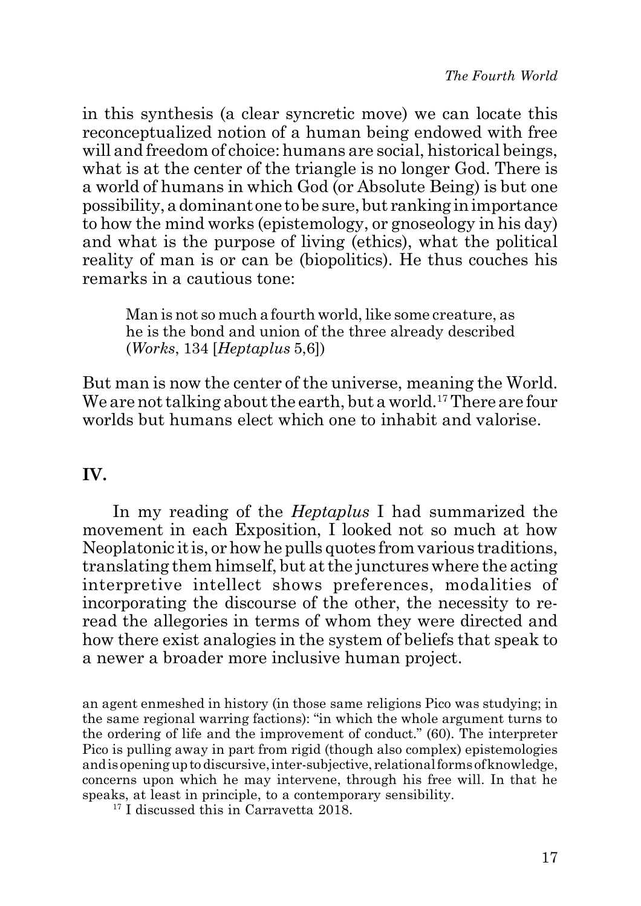in this synthesis (a clear syncretic move) we can locate this reconceptualized notion of a human being endowed with free will and freedom of choice: humans are social, historical beings, what is at the center of the triangle is no longer God. There is a world of humans in which God (or Absolute Being) is but one possibility, a dominant one to be sure, but ranking in importance to how the mind works (epistemology, or gnoseology in his day) and what is the purpose of living (ethics), what the political reality of man is or can be (biopolitics). He thus couches his remarks in a cautious tone:

Man is not so much a fourth world, like some creature, as he is the bond and union of the three already described (*Works*, 134 [*Heptaplus* 5,6])

But man is now the center of the universe, meaning the World. We are not talking about the earth, but a world.<sup>17</sup> There are four worlds but humans elect which one to inhabit and valorise.

## **IV.**

In my reading of the *Heptaplus* I had summarized the movement in each Exposition, I looked not so much at how Neoplatonic it is, or how he pulls quotes from various traditions, translating them himself, but at the junctures where the acting interpretive intellect shows preferences, modalities of incorporating the discourse of the other, the necessity to reread the allegories in terms of whom they were directed and how there exist analogies in the system of beliefs that speak to a newer a broader more inclusive human project.

an agent enmeshed in history (in those same religions Pico was studying; in the same regional warring factions): "in which the whole argument turns to the ordering of life and the improvement of conduct." (60). The interpreter Pico is pulling away in part from rigid (though also complex) epistemologies and is opening up to discursive, inter-subjective, relational forms of knowledge, concerns upon which he may intervene, through his free will. In that he speaks, at least in principle, to a contemporary sensibility.

<sup>17</sup> I discussed this in Carravetta 2018.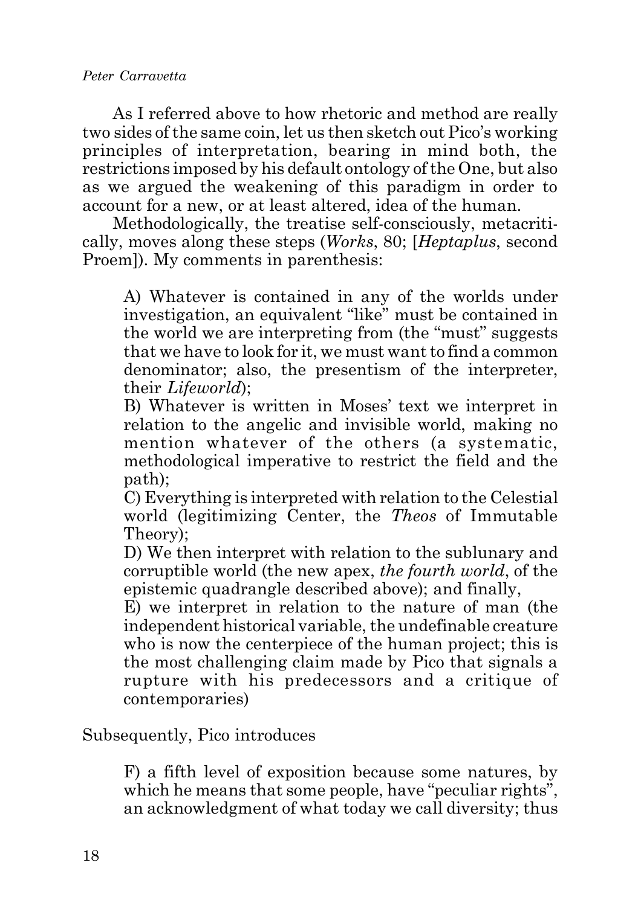As I referred above to how rhetoric and method are really two sides of the same coin, let us then sketch out Pico's working principles of interpretation, bearing in mind both, the restrictions imposed by his default ontology of the One, but also as we argued the weakening of this paradigm in order to account for a new, or at least altered, idea of the human.

Methodologically, the treatise self-consciously, metacritically, moves along these steps (*Works*, 80; [*Heptaplus*, second Proem]). My comments in parenthesis:

A) Whatever is contained in any of the worlds under investigation, an equivalent "like" must be contained in the world we are interpreting from (the "must" suggests that we have to look for it, we must want to find a common denominator; also, the presentism of the interpreter, their *Lifeworld*);

B) Whatever is written in Moses' text we interpret in relation to the angelic and invisible world, making no mention whatever of the others (a systematic, methodological imperative to restrict the field and the path);

C) Everything is interpreted with relation to the Celestial world (legitimizing Center, the *Theos* of Immutable Theory);

D) We then interpret with relation to the sublunary and corruptible world (the new apex, *the fourth world*, of the epistemic quadrangle described above); and finally,

E) we interpret in relation to the nature of man (the independent historical variable, the undefinable creature who is now the centerpiece of the human project; this is the most challenging claim made by Pico that signals a rupture with his predecessors and a critique of contemporaries)

Subsequently, Pico introduces

F) a fifth level of exposition because some natures, by which he means that some people, have "peculiar rights", an acknowledgment of what today we call diversity; thus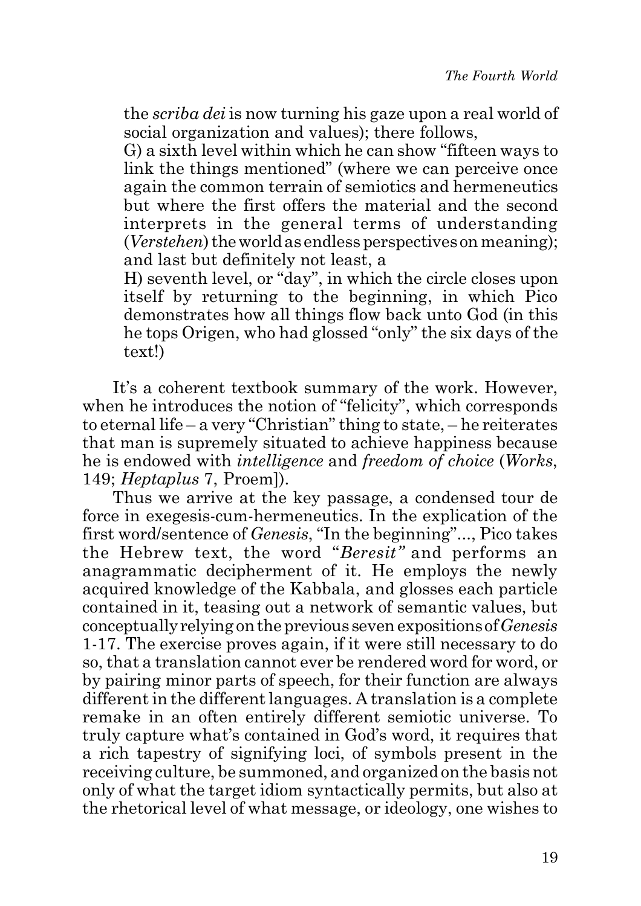the *scriba dei* is now turning his gaze upon a real world of social organization and values); there follows,

G) a sixth level within which he can show "fifteen ways to link the things mentioned" (where we can perceive once again the common terrain of semiotics and hermeneutics but where the first offers the material and the second interprets in the general terms of understanding (*Verstehen*) the world as endless perspectives on meaning); and last but definitely not least, a

H) seventh level, or "day", in which the circle closes upon itself by returning to the beginning, in which Pico demonstrates how all things flow back unto God (in this he tops Origen, who had glossed "only" the six days of the text!)

It's a coherent textbook summary of the work. However, when he introduces the notion of "felicity", which corresponds to eternal life – a very "Christian" thing to state, – he reiterates that man is supremely situated to achieve happiness because he is endowed with *intelligence* and *freedom of choice* (*Works*, 149; *Heptaplus* 7, Proem]).

Thus we arrive at the key passage, a condensed tour de force in exegesis-cum-hermeneutics. In the explication of the first word/sentence of *Genesis*, "In the beginning"..., Pico takes the Hebrew text, the word "*Beresit"* and performs an anagrammatic decipherment of it. He employs the newly acquired knowledge of the Kabbala, and glosses each particle contained in it, teasing out a network of semantic values, but conceptually relying on the previous seven expositions of *Genesis* 1-17. The exercise proves again, if it were still necessary to do so, that a translation cannot ever be rendered word for word, or by pairing minor parts of speech, for their function are always different in the different languages. A translation is a complete remake in an often entirely different semiotic universe. To truly capture what's contained in God's word, it requires that a rich tapestry of signifying loci, of symbols present in the receiving culture, be summoned, and organized on the basis not only of what the target idiom syntactically permits, but also at the rhetorical level of what message, or ideology, one wishes to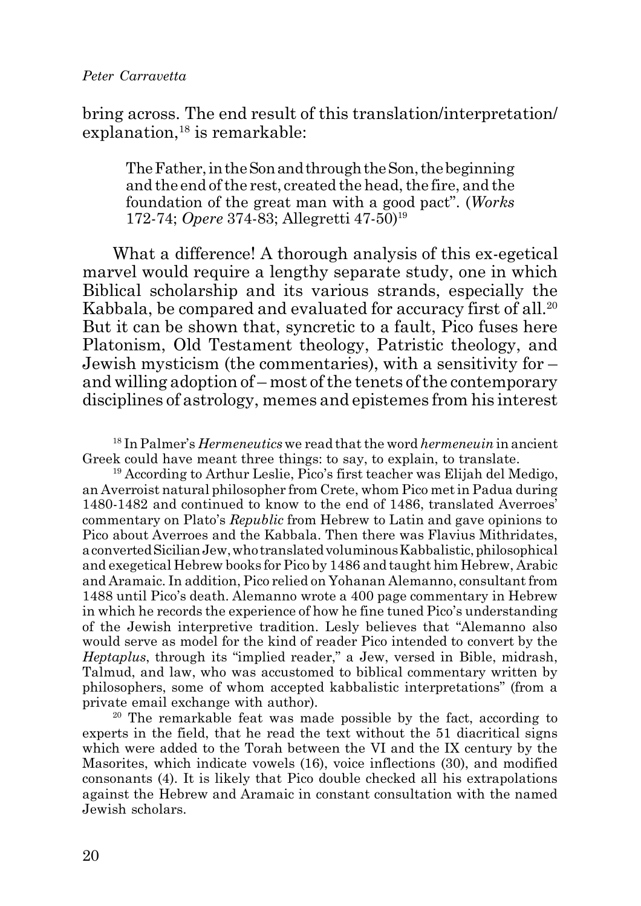bring across. The end result of this translation/interpretation/ explanation, $^{18}$  is remarkable:

The Father, in the Son and through the Son, the beginning and the end of the rest, created the head, the fire, and the foundation of the great man with a good pact". (*Works* 172-74; *Opere* 374-83; Allegretti 47-50)19

What a difference! A thorough analysis of this ex-egetical marvel would require a lengthy separate study, one in which Biblical scholarship and its various strands, especially the Kabbala, be compared and evaluated for accuracy first of all.<sup>20</sup> But it can be shown that, syncretic to a fault, Pico fuses here Platonism, Old Testament theology, Patristic theology, and Jewish mysticism (the commentaries), with a sensitivity for – and willing adoption of – most of the tenets of the contemporary disciplines of astrology, memes and epistemes from his interest

18 In Palmer's *Hermeneutics* we read that the word *hermeneuin* in ancient Greek could have meant three things: to say, to explain, to translate.

19 According to Arthur Leslie, Pico's first teacher was Elijah del Medigo, an Averroist natural philosopher from Crete, whom Pico met in Padua during 1480-1482 and continued to know to the end of 1486, translated Averroes' commentary on Plato's *Republic* from Hebrew to Latin and gave opinions to Pico about Averroes and the Kabbala. Then there was Flavius Mithridates, a converted Sicilian Jew, who translated voluminous Kabbalistic, philosophical and exegetical Hebrew books for Pico by 1486 and taught him Hebrew, Arabic and Aramaic. In addition, Pico relied on Yohanan Alemanno, consultant from 1488 until Pico's death. Alemanno wrote a 400 page commentary in Hebrew in which he records the experience of how he fine tuned Pico's understanding of the Jewish interpretive tradition. Lesly believes that "Alemanno also would serve as model for the kind of reader Pico intended to convert by the *Heptaplus*, through its "implied reader," a Jew, versed in Bible, midrash, Talmud, and law, who was accustomed to biblical commentary written by philosophers, some of whom accepted kabbalistic interpretations" (from a private email exchange with author).

20 The remarkable feat was made possible by the fact, according to experts in the field, that he read the text without the 51 diacritical signs which were added to the Torah between the VI and the IX century by the Masorites, which indicate vowels (16), voice inflections (30), and modified consonants (4). It is likely that Pico double checked all his extrapolations against the Hebrew and Aramaic in constant consultation with the named Jewish scholars.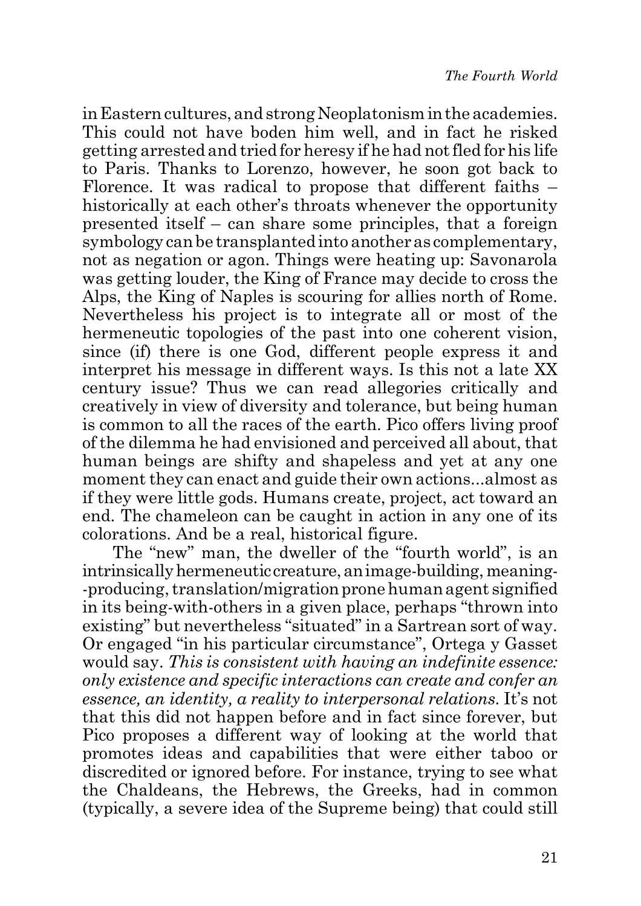in Eastern cultures, and strong Neoplatonism in the academies. This could not have boden him well, and in fact he risked getting arrested and tried for heresy if he had not fled for his life to Paris. Thanks to Lorenzo, however, he soon got back to Florence. It was radical to propose that different faiths – historically at each other's throats whenever the opportunity presented itself – can share some principles, that a foreign symbology can be transplanted into another as complementary, not as negation or agon. Things were heating up: Savonarola was getting louder, the King of France may decide to cross the Alps, the King of Naples is scouring for allies north of Rome. Nevertheless his project is to integrate all or most of the hermeneutic topologies of the past into one coherent vision, since (if) there is one God, different people express it and interpret his message in different ways. Is this not a late XX century issue? Thus we can read allegories critically and creatively in view of diversity and tolerance, but being human is common to all the races of the earth. Pico offers living proof of the dilemma he had envisioned and perceived all about, that human beings are shifty and shapeless and yet at any one moment they can enact and guide their own actions...almost as if they were little gods. Humans create, project, act toward an end. The chameleon can be caught in action in any one of its colorations. And be a real, historical figure.

The "new" man, the dweller of the "fourth world", is an intrinsically hermeneutic creature, an image-building, meaning producing, translation/migration prone human agent signified in its being-with-others in a given place, perhaps "thrown into existing" but nevertheless "situated" in a Sartrean sort of way. Or engaged "in his particular circumstance", Ortega y Gasset would say. *This is consistent with having an indefinite essence: only existence and specific interactions can create and confer an essence, an identity, a reality to interpersonal relations*. It's not that this did not happen before and in fact since forever, but Pico proposes a different way of looking at the world that promotes ideas and capabilities that were either taboo or discredited or ignored before. For instance, trying to see what the Chaldeans, the Hebrews, the Greeks, had in common (typically, a severe idea of the Supreme being) that could still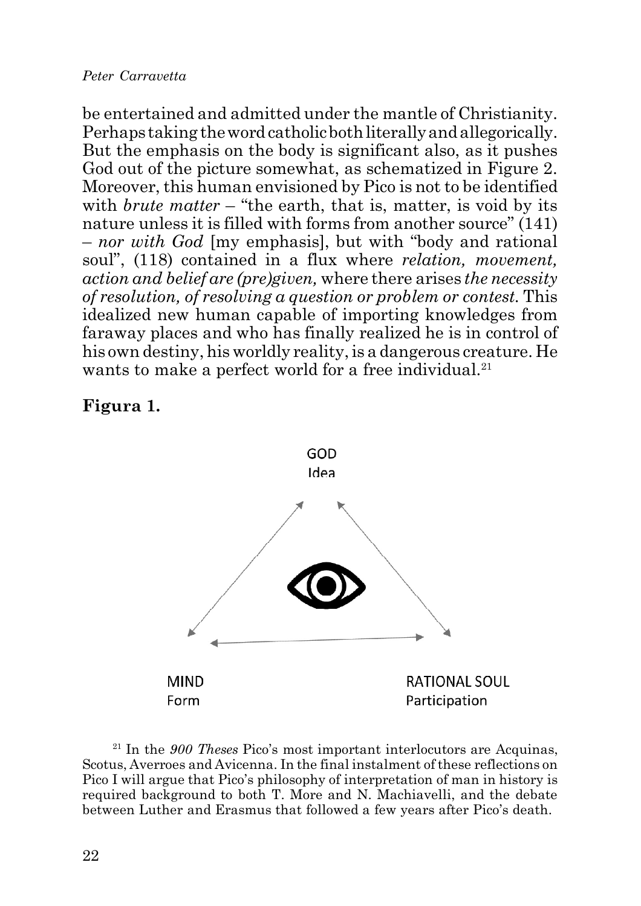#### *Peter Carravetta*

be entertained and admitted under the mantle of Christianity. Perhaps taking the word catholic both literally and allegorically. But the emphasis on the body is significant also, as it pushes God out of the picture somewhat, as schematized in Figure 2. Moreover, this human envisioned by Pico is not to be identified with *brute matter* – "the earth, that is, matter, is void by its nature unless it is filled with forms from another source" (141) – *nor with God* [my emphasis], but with "body and rational soul", (118) contained in a flux where *relation, movement, action and belief are (pre)given,* where there arises *the necessity of resolution, of resolving a question or problem or contest.* This idealized new human capable of importing knowledges from faraway places and who has finally realized he is in control of his own destiny, his worldly reality, is a dangerous creature. He wants to make a perfect world for a free individual.<sup>21</sup>

## **Figura 1.**



21 In the *900 Theses* Pico's most important interlocutors are Acquinas, Scotus, Averroes and Avicenna. In the final instalment of these reflections on Pico I will argue that Pico's philosophy of interpretation of man in history is required background to both T. More and N. Machiavelli, and the debate between Luther and Erasmus that followed a few years after Pico's death.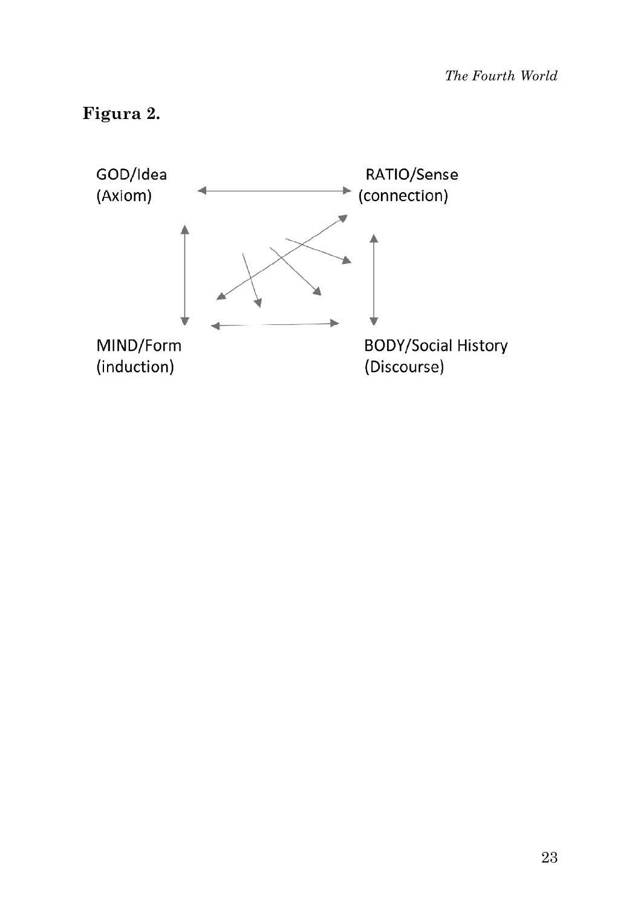# **Figura 2.**

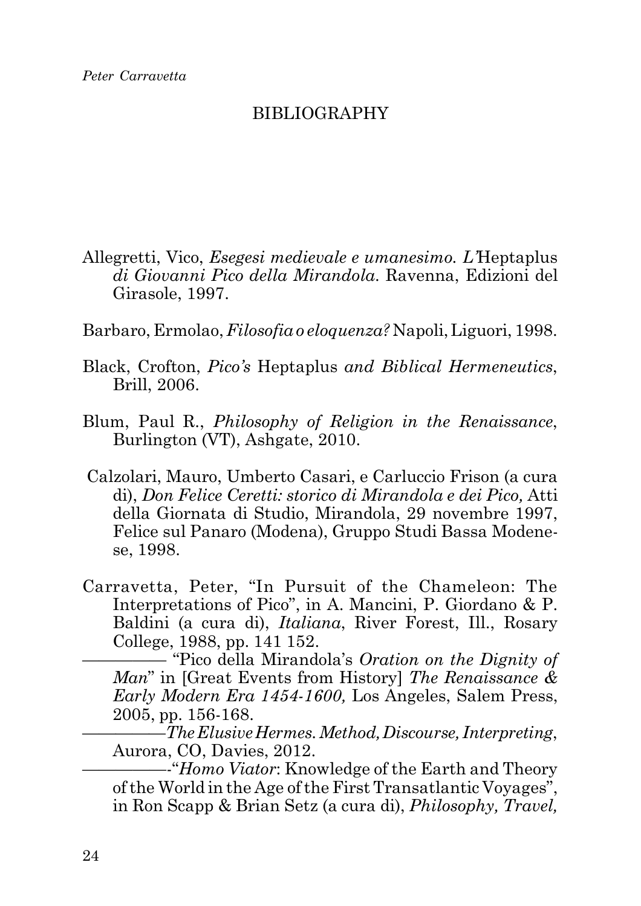## BIBLIOGRAPHY

- Allegretti, Vico, *Esegesi medievale e umanesimo. L'*Heptaplus *di Giovanni Pico della Mirandola*. Ravenna, Edizioni del Girasole, 1997.
- Barbaro, Ermolao, *Filosofia o eloquenza?* Napoli, Liguori, 1998.
- Black, Crofton, *Pico's* Heptaplus *and Biblical Hermeneutics*, Brill, 2006.
- Blum, Paul R., *Philosophy of Religion in the Renaissance*, Burlington (VT), Ashgate, 2010.
- Calzolari, Mauro, Umberto Casari, e Carluccio Frison (a cura di), *Don Felice Ceretti: storico di Mirandola e dei Pico,* Atti della Giornata di Studio, Mirandola, 29 novembre 1997, Felice sul Panaro (Modena), Gruppo Studi Bassa Modenese, 1998.
- Carravetta, Peter, "In Pursuit of the Chameleon: The Interpretations of Pico", in A. Mancini, P. Giordano & P. Baldini (a cura di), *Italiana*, River Forest, Ill., Rosary College, 1988, pp. 141 152.

————— "Pico della Mirandola's *Oration on the Dignity of Man*" in [Great Events from History] *The Renaissance & Early Modern Era 1454-1600,* Los Angeles, Salem Press, 2005, pp. 156-168.

—————*The Elusive Hermes. Method, Discourse, Interpreting*, Aurora, CO, Davies, 2012.

—————-"*Homo Viator*: Knowledge of the Earth and Theory of the World in the Age of the First Transatlantic Voyages", in Ron Scapp & Brian Setz (a cura di), *Philosophy, Travel,*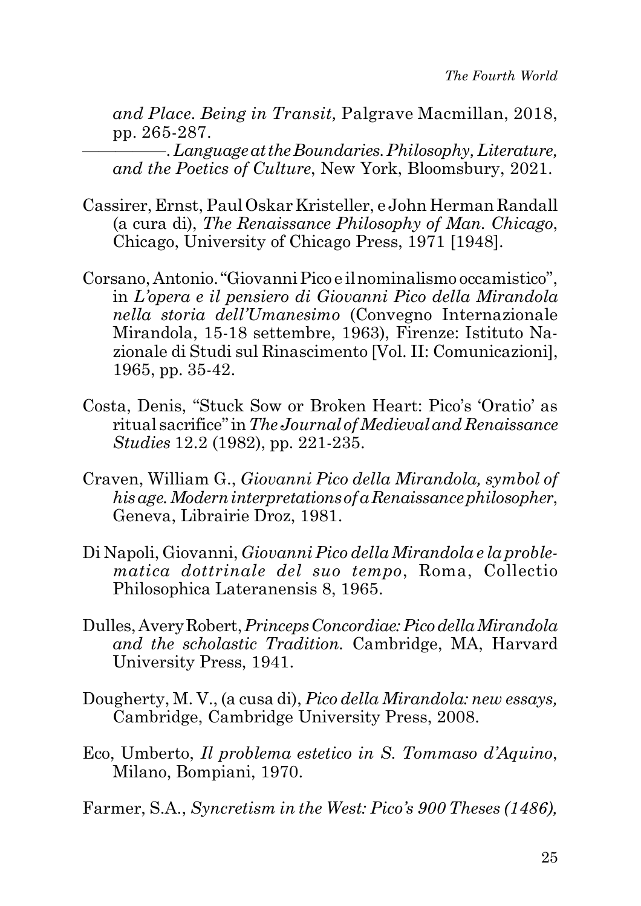*and Place. Being in Transit,* Palgrave Macmillan, 2018, pp. 265-287.

—————. *Language at the Boundaries. Philosophy, Literature, and the Poetics of Culture*, New York, Bloomsbury, 2021.

- Cassirer, Ernst, Paul Oskar Kristeller, e John Herman Randall (a cura di), *The Renaissance Philosophy of Man. Chicago*, Chicago, University of Chicago Press, 1971 [1948].
- Corsano, Antonio. "Giovanni Pico e il nominalismo occamistico", in *L'opera e il pensiero di Giovanni Pico della Mirandola nella storia dell'Umanesimo* (Convegno Internazionale Mirandola, 15-18 settembre, 1963), Firenze: Istituto Nazionale di Studi sul Rinascimento [Vol. II: Comunicazioni], 1965, pp. 35-42.
- Costa, Denis, "Stuck Sow or Broken Heart: Pico's 'Oratio' as ritual sacrifice" in *The Journal of Medieval and Renaissance Studies* 12.2 (1982), pp. 221-235.
- Craven, William G., *Giovanni Pico della Mirandola, symbol of his age. Modern interpretations of a Renaissance philosopher*, Geneva, Librairie Droz, 1981.
- Di Napoli, Giovanni, *Giovanni Pico della Mirandola e la problematica dottrinale del suo tempo*, Roma, Collectio Philosophica Lateranensis 8, 1965.
- Dulles, Avery Robert, *Princeps Concordiae: Pico della Mirandola and the scholastic Tradition.* Cambridge, MA, Harvard University Press, 1941.
- Dougherty, M. V., (a cusa di), *Pico della Mirandola: new essays,* Cambridge, Cambridge University Press, 2008.
- Eco, Umberto, *Il problema estetico in S. Tommaso d'Aquino*, Milano, Bompiani, 1970.
- Farmer, S.A., *Syncretism in the West: Pico's 900 Theses (1486),*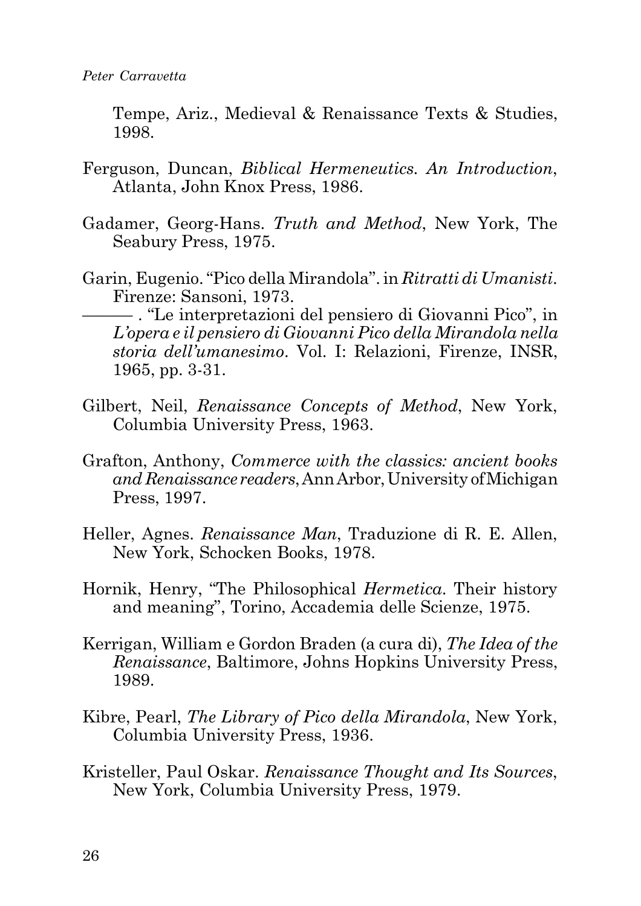Tempe, Ariz., Medieval & Renaissance Texts & Studies, 1998.

- Ferguson, Duncan, *Biblical Hermeneutics. An Introduction*, Atlanta, John Knox Press, 1986.
- Gadamer, Georg-Hans. *Truth and Method*, New York, The Seabury Press, 1975.
- Garin, Eugenio. "Pico della Mirandola". in *Ritratti di Umanisti*. Firenze: Sansoni, 1973.

——— . "Le interpretazioni del pensiero di Giovanni Pico", in *L'opera e il pensiero di Giovanni Pico della Mirandola nella storia dell'umanesimo*. Vol. I: Relazioni, Firenze, INSR, 1965, pp. 3-31.

- Gilbert, Neil, *Renaissance Concepts of Method*, New York, Columbia University Press, 1963.
- Grafton, Anthony, *Commerce with the classics: ancient books and Renaissance readers*, Ann Arbor, University of Michigan Press, 1997.
- Heller, Agnes. *Renaissance Man*, Traduzione di R. E. Allen, New York, Schocken Books, 1978.
- Hornik, Henry, "The Philosophical *Hermetica*. Their history and meaning", Torino, Accademia delle Scienze, 1975.
- Kerrigan, William e Gordon Braden (a cura di), *The Idea of the Renaissance*, Baltimore, Johns Hopkins University Press, 1989.
- Kibre, Pearl, *The Library of Pico della Mirandola*, New York, Columbia University Press, 1936.
- Kristeller, Paul Oskar. *Renaissance Thought and Its Sources*, New York, Columbia University Press, 1979.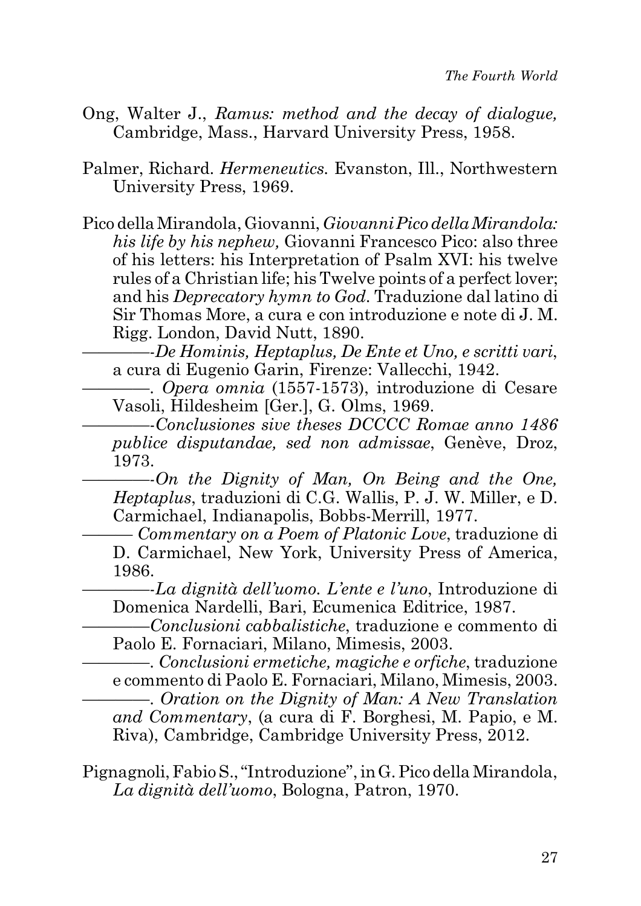- Ong, Walter J., *Ramus: method and the decay of dialogue,* Cambridge, Mass., Harvard University Press, 1958.
- Palmer, Richard. *Hermeneutics.* Evanston, Ill., Northwestern University Press, 1969.
- Pico della Mirandola, Giovanni, *Giovanni Pico della Mirandola: his life by his nephew,* Giovanni Francesco Pico: also three of his letters: his Interpretation of Psalm XVI: his twelve rules of a Christian life; his Twelve points of a perfect lover; and his *Deprecatory hymn to God*. Traduzione dal latino di Sir Thomas More, a cura e con introduzione e note di J. M. Rigg. London, David Nutt, 1890.

————-*De Hominis, Heptaplus, De Ente et Uno, e scritti vari*, a cura di Eugenio Garin, Firenze: Vallecchi, 1942.

————. *Opera omnia* (1557-1573), introduzione di Cesare Vasoli, Hildesheim [Ger.], G. Olms, 1969.

————-*Conclusiones sive theses DCCCC Romae anno 1486 publice disputandae, sed non admissae*, Genève, Droz, 1973.

————-*On the Dignity of Man, On Being and the One, Heptaplus*, traduzioni di C.G. Wallis, P. J. W. Miller, e D. Carmichael, Indianapolis, Bobbs-Merrill, 1977.

——— *Commentary on a Poem of Platonic Love*, traduzione di D. Carmichael, New York, University Press of America, 1986.

————-*La dignità dell'uomo. L'ente e l'uno*, Introduzione di Domenica Nardelli, Bari, Ecumenica Editrice, 1987.

————*Conclusioni cabbalistiche*, traduzione e commento di Paolo E. Fornaciari, Milano, Mimesis, 2003.

————. *Conclusioni ermetiche, magiche e orfiche*, traduzione e commento di Paolo E. Fornaciari, Milano, Mimesis, 2003.

————. *Oration on the Dignity of Man: A New Translation and Commentary*, (a cura di F. Borghesi, M. Papio, e M. Riva), Cambridge, Cambridge University Press, 2012.

Pignagnoli, Fabio S., "Introduzione", in G. Pico della Mirandola, *La dignità dell'uomo*, Bologna, Patron, 1970.